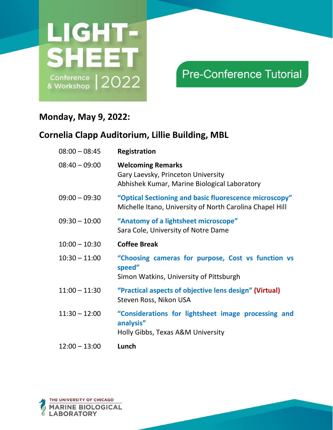

## **Pre-Conference Tutorial**

### **Monday, May 9, 2022:**

| $08:00 - 08:45$ | Registration                                                                                                       |
|-----------------|--------------------------------------------------------------------------------------------------------------------|
| $08:40 - 09:00$ | <b>Welcoming Remarks</b><br>Gary Laevsky, Princeton University<br>Abhishek Kumar, Marine Biological Laboratory     |
| $09:00 - 09:30$ | "Optical Sectioning and basic fluorescence microscopy"<br>Michelle Itano, University of North Carolina Chapel Hill |
| $09:30 - 10:00$ | "Anatomy of a lightsheet microscope"<br>Sara Cole, University of Notre Dame                                        |
| $10:00 - 10:30$ | <b>Coffee Break</b>                                                                                                |
| $10:30 - 11:00$ | "Choosing cameras for purpose, Cost vs function vs<br>speed"<br>Simon Watkins, University of Pittsburgh            |
| $11:00 - 11:30$ | "Practical aspects of objective lens design" (Virtual)<br>Steven Ross, Nikon USA                                   |
| $11:30 - 12:00$ | "Considerations for lightsheet image processing and<br>analysis"<br>Holly Gibbs, Texas A&M University              |
| $12:00 - 13:00$ | Lunch                                                                                                              |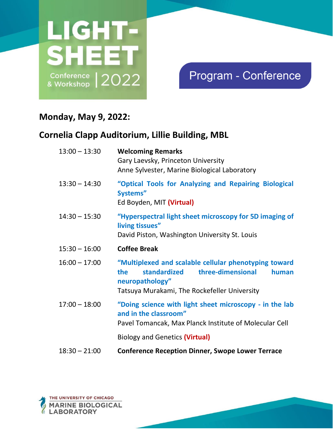

## Program - Conference

### **Monday, May 9, 2022:**

| $13:00 - 13:30$ | <b>Welcoming Remarks</b><br>Gary Laevsky, Princeton University<br>Anne Sylvester, Marine Biological Laboratory                                                                      |
|-----------------|-------------------------------------------------------------------------------------------------------------------------------------------------------------------------------------|
| $13:30 - 14:30$ | "Optical Tools for Analyzing and Repairing Biological<br>Systems"<br>Ed Boyden, MIT (Virtual)                                                                                       |
| $14:30 - 15:30$ | "Hyperspectral light sheet microscopy for 5D imaging of<br>living tissues"<br>David Piston, Washington University St. Louis                                                         |
| $15:30 - 16:00$ | <b>Coffee Break</b>                                                                                                                                                                 |
| $16:00 - 17:00$ | "Multiplexed and scalable cellular phenotyping toward<br>three-dimensional<br>standardized<br>the<br>human<br>neuropathology"<br>Tatsuya Murakami, The Rockefeller University       |
| $17:00 - 18:00$ | "Doing science with light sheet microscopy - in the lab<br>and in the classroom"<br>Pavel Tomancak, Max Planck Institute of Molecular Cell<br><b>Biology and Genetics (Virtual)</b> |
| $18:30 - 21:00$ | <b>Conference Reception Dinner, Swope Lower Terrace</b>                                                                                                                             |

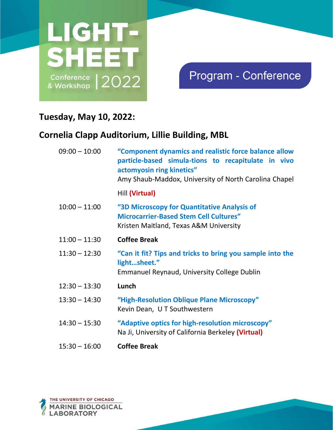

## Program - Conference

### **Tuesday, May 10, 2022:**

| $09:00 - 10:00$ | "Component dynamics and realistic force balance allow<br>particle-based simula-tions to recapitulate in vivo<br>actomyosin ring kinetics"<br>Amy Shaub-Maddox, University of North Carolina Chapel |
|-----------------|----------------------------------------------------------------------------------------------------------------------------------------------------------------------------------------------------|
|                 | Hill (Virtual)                                                                                                                                                                                     |
| $10:00 - 11:00$ | "3D Microscopy for Quantitative Analysis of<br><b>Microcarrier-Based Stem Cell Cultures"</b><br>Kristen Maitland, Texas A&M University                                                             |
| $11:00 - 11:30$ | <b>Coffee Break</b>                                                                                                                                                                                |
| $11:30 - 12:30$ | "Can it fit? Tips and tricks to bring you sample into the<br>lightsheet."<br><b>Emmanuel Reynaud, University College Dublin</b>                                                                    |
| $12:30 - 13:30$ | Lunch                                                                                                                                                                                              |
| $13:30 - 14:30$ | "High-Resolution Oblique Plane Microscopy"<br>Kevin Dean, U T Southwestern                                                                                                                         |
| $14:30 - 15:30$ | "Adaptive optics for high-resolution microscopy"<br>Na Ji, University of California Berkeley (Virtual)                                                                                             |
| $15:30 - 16:00$ | <b>Coffee Break</b>                                                                                                                                                                                |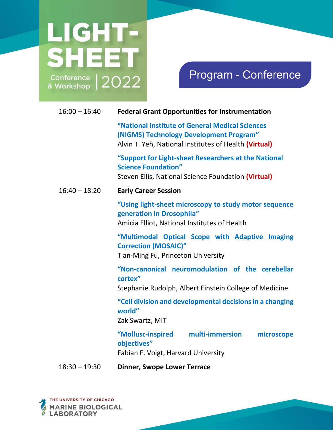# LIGHT-**SHEET**  $\frac{\text{Confference}}{\text{& Working}}$  2022

## Program - Conference

| $16:00 - 16:40$ | <b>Federal Grant Opportunities for Instrumentation</b>                                                                                              |
|-----------------|-----------------------------------------------------------------------------------------------------------------------------------------------------|
|                 | "National Institute of General Medical Sciences<br>(NIGMS) Technology Development Program"<br>Alvin T. Yeh, National Institutes of Health (Virtual) |
|                 | "Support for Light-sheet Researchers at the National<br><b>Science Foundation"</b><br>Steven Ellis, National Science Foundation (Virtual)           |
| $16:40 - 18:20$ | <b>Early Career Session</b>                                                                                                                         |
|                 | "Using light-sheet microscopy to study motor sequence<br>generation in Drosophila"<br>Amicia Elliot, National Institutes of Health                  |
|                 | "Multimodal Optical Scope with Adaptive Imaging<br><b>Correction (MOSAIC)"</b><br>Tian-Ming Fu, Princeton University                                |
|                 | "Non-canonical neuromodulation of the cerebellar<br>cortex"<br>Stephanie Rudolph, Albert Einstein College of Medicine                               |
|                 | "Cell division and developmental decisions in a changing<br>world"<br>Zak Swartz, MIT                                                               |
|                 | multi-immersion<br>"Mollusc-inspired<br>microscope<br>objectives"<br>Fabian F. Voigt, Harvard University                                            |
|                 |                                                                                                                                                     |

18:30 – 19:30 **Dinner, Swope Lower Terrace**

THE UNIVERSITY OF CHICAGO MARINE BIOLOGICAL<br>LABORATORY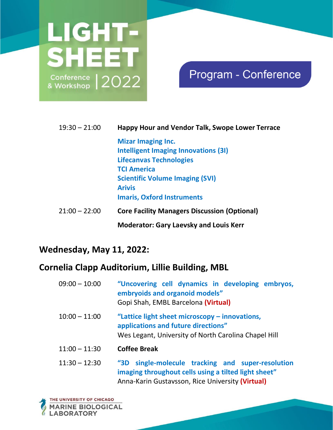

## Program - Conference

### 19:30 – 21:00 **Happy Hour and Vendor Talk, Swope Lower Terrace Mizar Imaging Inc. Intelligent Imaging Innovations (3I) Lifecanvas Technologies TCI America Scientific Volume Imaging (SVI) Arivis Imaris, Oxford Instruments**  21:00 – 22:00 **Core Facility Managers Discussion (Optional) Moderator: Gary Laevsky and Louis Kerr**

### **Wednesday, May 11, 2022:**

| $09:00 - 10:00$ | "Uncovering cell dynamics in developing embryos,<br>embryoids and organoid models"<br>Gopi Shah, EMBL Barcelona (Virtual)                                     |
|-----------------|---------------------------------------------------------------------------------------------------------------------------------------------------------------|
| $10:00 - 11:00$ | "Lattice light sheet microscopy – innovations,<br>applications and future directions"<br>Wes Legant, University of North Carolina Chapel Hill                 |
| $11:00 - 11:30$ | <b>Coffee Break</b>                                                                                                                                           |
| $11:30 - 12:30$ | "3D single-molecule tracking and super-resolution<br>imaging throughout cells using a tilted light sheet"<br>Anna-Karin Gustavsson, Rice University (Virtual) |